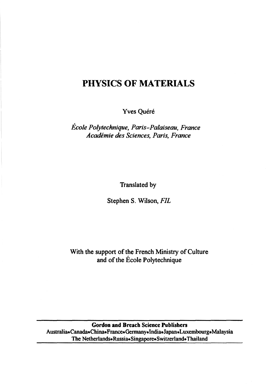## **PHYSICS OF MATERIALS**

Yves Quéré

*Ecole Polytechnique, Paris-Palaiseau, France Academie des Sciences, Paris, France* 

Translated by

Stephen S. Wilson, *FIL* 

With the support of the French Ministry of Culture and of the Ecole Polytechnique

Gordon and Breach Science Publishers Australia•Canada•China•France•Germany•India•Japan•Luxembourg•Malaysia The Netherlands•Russia•Singapore•Switzerland•Thailand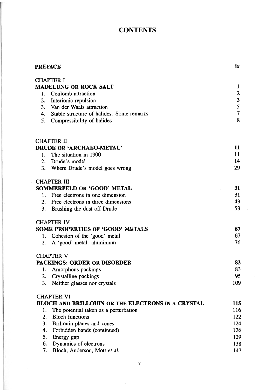## **CONTENTS**

 $\sim$ 

| <b>PREFACE</b>                                                | ix             |
|---------------------------------------------------------------|----------------|
| <b>CHAPTER I</b>                                              |                |
| <b>MADELUNG OR ROCK SALT</b>                                  | 1              |
| Coulomb attraction<br>1.                                      | $\overline{c}$ |
| 2.<br>Interionic repulsion                                    | 3              |
| 3.<br>Van der Waals attraction                                | 5              |
| Stable structure of halides. Some remarks<br>4.               | $\overline{7}$ |
| 5.<br>Compressibility of halides                              | 8              |
| CHAPTER II                                                    |                |
| DRUDE OR 'ARCHAEO-METAL'                                      | 11             |
| The situation in 1900<br>1.                                   | 11             |
| $\mathbf{2}$ .<br>Drude's model                               | 14             |
| 3. Where Drude's model goes wrong                             | 29             |
| <b>CHAPTER III</b>                                            |                |
| SOMMERFELD OR 'GOOD' METAL<br>Free electrons in one dimension | 31<br>31       |
| 1.<br>2.<br>Free electrons in three dimensions                | 43             |
| 3.<br>Brushing the dust off Drude                             | 53             |
|                                                               |                |
| <b>CHAPTER IV</b>                                             |                |
| <b>SOME PROPERTIES OF 'GOOD' METALS</b>                       | 67             |
| 1. Cohesion of the 'good' metal                               | 67             |
| A 'good' metal: aluminium<br>2.                               | 76             |
| CHAPTER V                                                     |                |
| <b>PACKINGS: ORDER OR DISORDER</b>                            | 83             |
| Amorphous packings<br>1.                                      | 83<br>95       |
| Crystalline packings<br>2.                                    | 109            |
| 3.<br>Neither glasses nor crystals                            |                |
| <b>CHAPTER VI</b>                                             |                |
| <b>BLOCH AND BRILLOUIN OR THE ELECTRONS IN A CRYSTAL</b>      | 115            |
| The potential taken as a perturbation<br>1.                   | 116            |
| 2.<br><b>Bloch functions</b>                                  | 122            |
| 3.<br>Brillouin planes and zones                              | 124            |
| 4.<br>Forbidden bands (continued)                             | 126            |
| 5.<br>Energy gap                                              | 129            |
| 6.<br>Dynamics of electrons                                   | 138            |
| 7.<br>Bloch, Anderson, Mott et al.                            | 147            |

 $\mathbf v$ 

 $\bar{z}$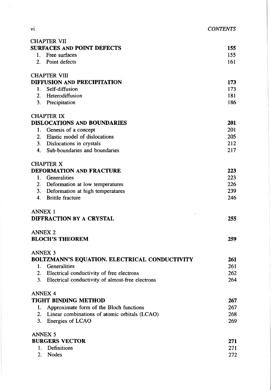| <b>CONTENTS</b> |
|-----------------|

| <b>CHAPTER VII</b>                                                |            |
|-------------------------------------------------------------------|------------|
| <b>SURFACES AND POINT DEFECTS</b>                                 | 155        |
| 1. Free surfaces                                                  | 155        |
| 2. Point defects                                                  | 161        |
|                                                                   |            |
| <b>CHAPTER VIII</b>                                               |            |
| DIFFUSION AND PRECIPITATION                                       | 173        |
| Self-diffusion<br>1.                                              | 173        |
| 2. Heterodiffusion                                                | 181        |
| 3. Precipitation                                                  | 186        |
|                                                                   |            |
| <b>CHAPTER IX</b>                                                 |            |
| <b>DISLOCATIONS AND BOUNDARIES</b>                                | 201<br>201 |
| 1. Genesis of a concept                                           | 205        |
| 2. Elastic model of dislocations                                  |            |
| 3. Dislocations in crystals                                       | 212        |
| 4. Sub-boundaries and boundaries                                  | 217        |
| <b>CHAPTER X</b>                                                  |            |
| <b>DEFORMATION AND FRACTURE</b>                                   | 223        |
| 1. Generalities                                                   | 223        |
| 2. Deformation at low temperatures                                | 226        |
| 3. Deformation at high temperatures                               | 239        |
| 4. Brittle fracture                                               | 246        |
|                                                                   |            |
| <b>ANNEX 1</b>                                                    |            |
| DIFFRACTION BY A CRYSTAL                                          | 255        |
|                                                                   |            |
| <b>ANNEX 2</b>                                                    |            |
| <b>BLOCH'S THEOREM</b>                                            | 259        |
|                                                                   |            |
| <b>ANNEX 3</b>                                                    |            |
| BOLTZMANN'S EQUATION. ELECTRICAL CONDUCTIVITY                     | 261        |
| Generalities<br>1.                                                | 261        |
| 2. Electrical conductivity of free electrons                      | 262        |
| 3.<br>Electrical conductivity of almost-free electrons            | 264        |
| <b>ANNEX 4</b>                                                    |            |
| <b>TIGHT BINDING METHOD</b>                                       | 267        |
| Approximate form of the Bloch functions<br>1.                     | 267        |
| $\overline{2}$ .<br>Linear combinations of atomic orbitals (LCAO) | 268        |
| Energies of LCAO<br>3.                                            | 269        |
|                                                                   |            |
| <b>ANNEX 5</b>                                                    |            |
| <b>BURGERS VECTOR</b>                                             | 271        |
| Definitions<br>1.                                                 | 271        |
| 2.<br><b>Nodes</b>                                                | 272        |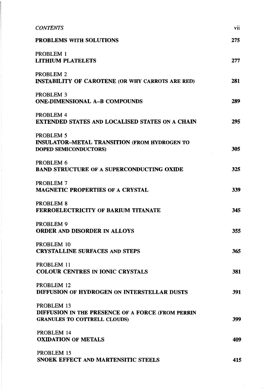| <b>CONTENTS</b>                                                                                        | vii |
|--------------------------------------------------------------------------------------------------------|-----|
| <b>PROBLEMS WITH SOLUTIONS</b>                                                                         | 275 |
| PROBLEM 1<br><b>LITHIUM PLATELETS</b>                                                                  | 277 |
| <b>PROBLEM 2</b><br><b>INSTABILITY OF CAROTENE (OR WHY CARROTS ARE RED)</b>                            | 281 |
| PROBLEM <sub>3</sub><br><b>ONE-DIMENSIONAL A-B COMPOUNDS</b>                                           | 289 |
| PROBLEM 4<br><b>EXTENDED STATES AND LOCALISED STATES ON A CHAIN</b>                                    | 295 |
| PROBLEM 5<br><b>INSULATOR-METAL TRANSITION (FROM HYDROGEN TO</b><br>DOPED SEMICONDUCTORS)              | 305 |
| PROBLEM 6<br><b>BAND STRUCTURE OF A SUPERCONDUCTING OXIDE</b>                                          | 325 |
| PROBLEM 7<br><b>MAGNETIC PROPERTIES OF A CRYSTAL</b>                                                   | 339 |
| PROBLEM 8<br><b>FERROELECTRICITY OF BARIUM TITANATE</b>                                                | 345 |
| PROBLEM 9<br><b>ORDER AND DISORDER IN ALLOYS</b>                                                       | 355 |
| PROBLEM 10<br><b>CRYSTALLINE SURFACES AND STEPS</b>                                                    | 365 |
| PROBLEM 11<br><b>COLOUR CENTRES IN IONIC CRYSTALS</b>                                                  | 381 |
| PROBLEM 12<br>DIFFUSION OF HYDROGEN ON INTERSTELLAR DUSTS                                              | 391 |
| PROBLEM 13<br>DIFFUSION IN THE PRESENCE OF A FORCE (FROM PERRIN<br><b>GRANULES TO COTTRELL CLOUDS)</b> | 399 |
| PROBLEM 14<br><b>OXIDATION OF METALS</b>                                                               | 409 |
| PROBLEM 15<br>SNOEK EFFECT AND MARTENSITIC STEELS                                                      | 415 |